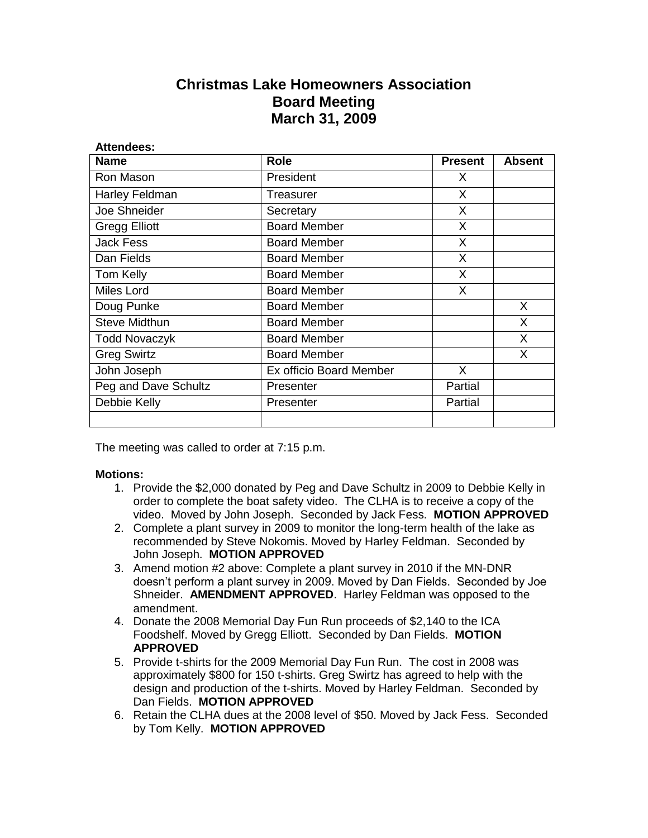## **Christmas Lake Homeowners Association Board Meeting March 31, 2009**

| <b>Attendees:</b>    |                         |                |               |
|----------------------|-------------------------|----------------|---------------|
| <b>Name</b>          | <b>Role</b>             | <b>Present</b> | <b>Absent</b> |
| Ron Mason            | President               | X.             |               |
| Harley Feldman       | Treasurer               | X              |               |
| Joe Shneider         | Secretary               | X              |               |
| <b>Gregg Elliott</b> | <b>Board Member</b>     | X              |               |
| <b>Jack Fess</b>     | <b>Board Member</b>     | X              |               |
| Dan Fields           | <b>Board Member</b>     | X              |               |
| Tom Kelly            | <b>Board Member</b>     | X              |               |
| Miles Lord           | <b>Board Member</b>     | X              |               |
| Doug Punke           | <b>Board Member</b>     |                | X             |
| <b>Steve Midthun</b> | <b>Board Member</b>     |                | X             |
| <b>Todd Novaczyk</b> | <b>Board Member</b>     |                | X             |
| <b>Greg Swirtz</b>   | <b>Board Member</b>     |                | X.            |
| John Joseph          | Ex officio Board Member | X.             |               |
| Peg and Dave Schultz | Presenter               | Partial        |               |
| Debbie Kelly         | Presenter               | Partial        |               |
|                      |                         |                |               |

The meeting was called to order at 7:15 p.m.

## **Motions:**

- 1. Provide the \$2,000 donated by Peg and Dave Schultz in 2009 to Debbie Kelly in order to complete the boat safety video. The CLHA is to receive a copy of the video. Moved by John Joseph. Seconded by Jack Fess. **MOTION APPROVED**
- 2. Complete a plant survey in 2009 to monitor the long-term health of the lake as recommended by Steve Nokomis. Moved by Harley Feldman. Seconded by John Joseph. **MOTION APPROVED**
- 3. Amend motion #2 above: Complete a plant survey in 2010 if the MN-DNR doesn't perform a plant survey in 2009. Moved by Dan Fields. Seconded by Joe Shneider. **AMENDMENT APPROVED**. Harley Feldman was opposed to the amendment.
- 4. Donate the 2008 Memorial Day Fun Run proceeds of \$2,140 to the ICA Foodshelf. Moved by Gregg Elliott. Seconded by Dan Fields. **MOTION APPROVED**
- 5. Provide t-shirts for the 2009 Memorial Day Fun Run. The cost in 2008 was approximately \$800 for 150 t-shirts. Greg Swirtz has agreed to help with the design and production of the t-shirts. Moved by Harley Feldman. Seconded by Dan Fields. **MOTION APPROVED**
- 6. Retain the CLHA dues at the 2008 level of \$50. Moved by Jack Fess. Seconded by Tom Kelly. **MOTION APPROVED**